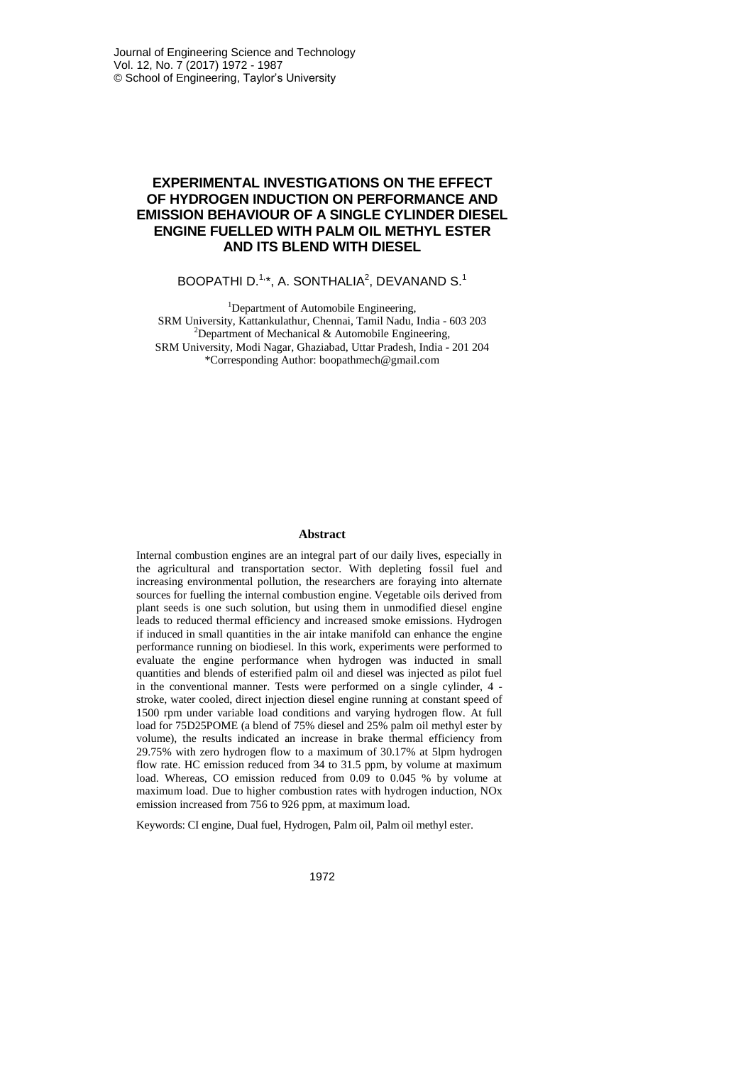# **EXPERIMENTAL INVESTIGATIONS ON THE EFFECT OF HYDROGEN INDUCTION ON PERFORMANCE AND EMISSION BEHAVIOUR OF A SINGLE CYLINDER DIESEL ENGINE FUELLED WITH PALM OIL METHYL ESTER AND ITS BLEND WITH DIESEL**

# BOOPATHI D. $^{1,\ast}$ , A. SONTHALIA $^{2}$ , DEVANAND S. $^{1}$

<sup>1</sup>Department of Automobile Engineering, SRM University, Kattankulathur, Chennai, Tamil Nadu, India - 603 203 <sup>2</sup>Department of Mechanical & Automobile Engineering, SRM University, Modi Nagar, Ghaziabad, Uttar Pradesh, India - 201 204 \*Corresponding Author: boopathmech@gmail.com

### **Abstract**

Internal combustion engines are an integral part of our daily lives, especially in the agricultural and transportation sector. With depleting fossil fuel and increasing environmental pollution, the researchers are foraying into alternate sources for fuelling the internal combustion engine. Vegetable oils derived from plant seeds is one such solution, but using them in unmodified diesel engine leads to reduced thermal efficiency and increased smoke emissions. Hydrogen if induced in small quantities in the air intake manifold can enhance the engine performance running on biodiesel. In this work, experiments were performed to evaluate the engine performance when hydrogen was inducted in small quantities and blends of esterified palm oil and diesel was injected as pilot fuel in the conventional manner. Tests were performed on a single cylinder, 4 stroke, water cooled, direct injection diesel engine running at constant speed of 1500 rpm under variable load conditions and varying hydrogen flow. At full load for 75D25POME (a blend of 75% diesel and 25% palm oil methyl ester by volume), the results indicated an increase in brake thermal efficiency from 29.75% with zero hydrogen flow to a maximum of 30.17% at 5lpm hydrogen flow rate. HC emission reduced from 34 to 31.5 ppm, by volume at maximum load. Whereas, CO emission reduced from 0.09 to 0.045 % by volume at maximum load. Due to higher combustion rates with hydrogen induction, NOx emission increased from 756 to 926 ppm, at maximum load.

Keywords: CI engine, Dual fuel, Hydrogen, Palm oil, Palm oil methyl ester.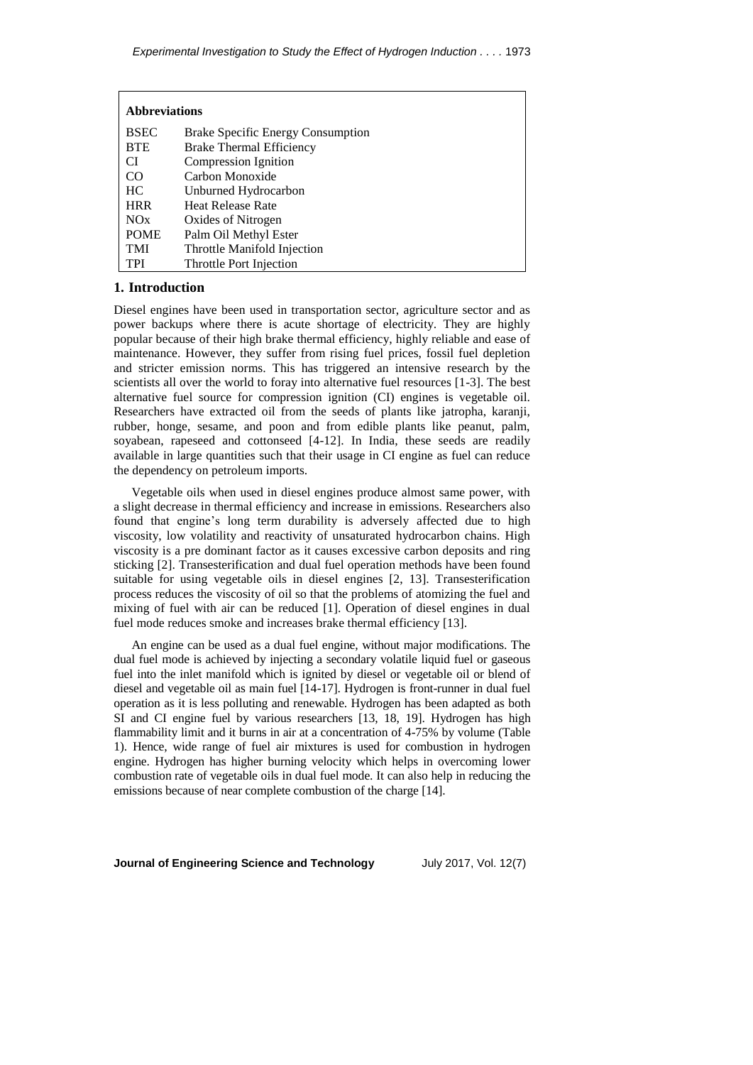| <b>Abbreviations</b> |                                          |  |
|----------------------|------------------------------------------|--|
| <b>BSEC</b>          | <b>Brake Specific Energy Consumption</b> |  |
| <b>BTE</b>           | <b>Brake Thermal Efficiency</b>          |  |
| CI                   | Compression Ignition                     |  |
| CO                   | Carbon Monoxide                          |  |
| HC.                  | Unburned Hydrocarbon                     |  |
| <b>HRR</b>           | <b>Heat Release Rate</b>                 |  |
| NOx                  | Oxides of Nitrogen                       |  |
| <b>POME</b>          | Palm Oil Methyl Ester                    |  |
| <b>TMI</b>           | Throttle Manifold Injection              |  |
| TPI                  | Throttle Port Injection                  |  |

## **1. Introduction**

Diesel engines have been used in transportation sector, agriculture sector and as power backups where there is acute shortage of electricity. They are highly popular because of their high brake thermal efficiency, highly reliable and ease of maintenance. However, they suffer from rising fuel prices, fossil fuel depletion and stricter emission norms. This has triggered an intensive research by the scientists all over the world to foray into alternative fuel resources [1-3]. The best alternative fuel source for compression ignition (CI) engines is vegetable oil. Researchers have extracted oil from the seeds of plants like jatropha, karanji, rubber, honge, sesame, and poon and from edible plants like peanut, palm, soyabean, rapeseed and cottonseed [4-12]. In India, these seeds are readily available in large quantities such that their usage in CI engine as fuel can reduce the dependency on petroleum imports.

Vegetable oils when used in diesel engines produce almost same power, with a slight decrease in thermal efficiency and increase in emissions. Researchers also found that engine's long term durability is adversely affected due to high viscosity, low volatility and reactivity of unsaturated hydrocarbon chains. High viscosity is a pre dominant factor as it causes excessive carbon deposits and ring sticking [2]. Transesterification and dual fuel operation methods have been found suitable for using vegetable oils in diesel engines [2, 13]. Transesterification process reduces the viscosity of oil so that the problems of atomizing the fuel and mixing of fuel with air can be reduced [1]. Operation of diesel engines in dual fuel mode reduces smoke and increases brake thermal efficiency [13].

An engine can be used as a dual fuel engine, without major modifications. The dual fuel mode is achieved by injecting a secondary volatile liquid fuel or gaseous fuel into the inlet manifold which is ignited by diesel or vegetable oil or blend of diesel and vegetable oil as main fuel [14-17]. Hydrogen is front-runner in dual fuel operation as it is less polluting and renewable. Hydrogen has been adapted as both SI and CI engine fuel by various researchers [13, 18, 19]. Hydrogen has high flammability limit and it burns in air at a concentration of 4-75% by volume (Table 1). Hence, wide range of fuel air mixtures is used for combustion in hydrogen engine. Hydrogen has higher burning velocity which helps in overcoming lower combustion rate of vegetable oils in dual fuel mode. It can also help in reducing the emissions because of near complete combustion of the charge [14].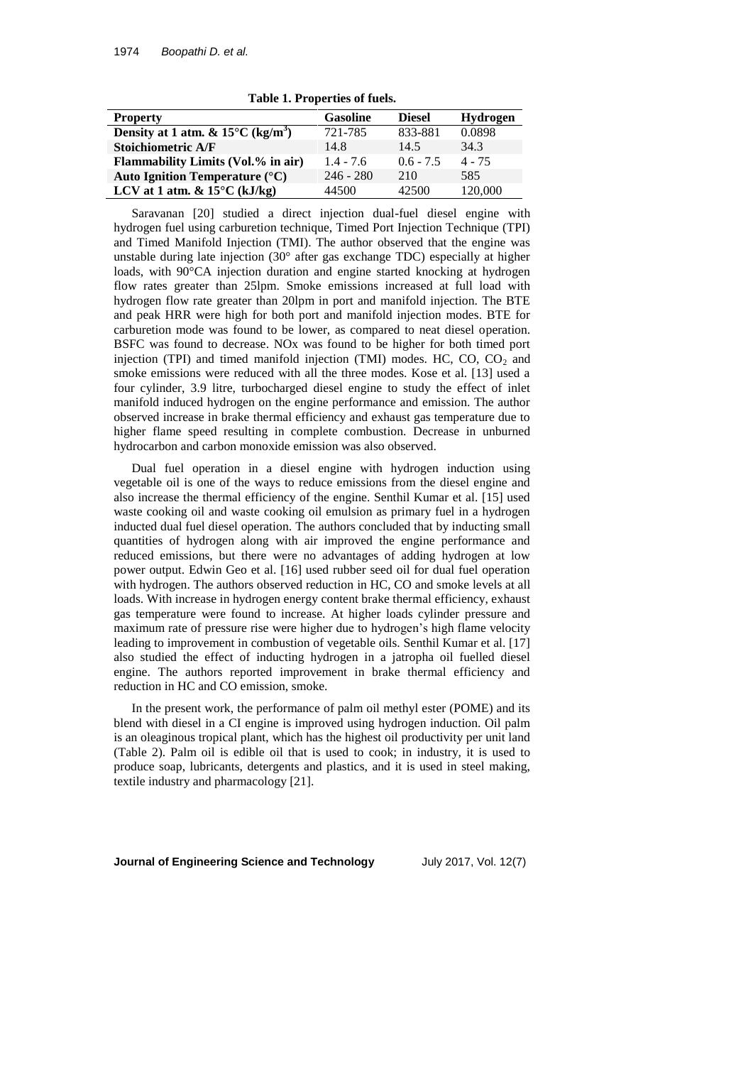| <b>Property</b>                                         | <b>Gasoline</b> | <b>Diesel</b> | <b>Hydrogen</b> |
|---------------------------------------------------------|-----------------|---------------|-----------------|
| Density at 1 atm. & $15^{\circ}$ C (kg/m <sup>3</sup> ) | 721-785         | 833-881       | 0.0898          |
| <b>Stoichiometric A/F</b>                               | 14.8            | 14.5          | 34.3            |
| <b>Flammability Limits (Vol.% in air)</b>               | $1.4 - 7.6$     | $0.6 - 7.5$   | $4 - 75$        |
| Auto Ignition Temperature $(^{\circ}C)$                 | $246 - 280$     | 210           | 585             |
| LCV at 1 atm. $& 15^{\circ}$ C (kJ/kg)                  | 44500           | 42500         | 120,000         |

**Table 1. Properties of fuels.**

Saravanan [20] studied a direct injection dual-fuel diesel engine with hydrogen fuel using carburetion technique, Timed Port Injection Technique (TPI) and Timed Manifold Injection (TMI). The author observed that the engine was unstable during late injection (30° after gas exchange TDC) especially at higher loads, with 90°CA injection duration and engine started knocking at hydrogen flow rates greater than 25lpm. Smoke emissions increased at full load with hydrogen flow rate greater than 20lpm in port and manifold injection. The BTE and peak HRR were high for both port and manifold injection modes. BTE for carburetion mode was found to be lower, as compared to neat diesel operation. BSFC was found to decrease. NOx was found to be higher for both timed port injection (TPI) and timed manifold injection (TMI) modes. HC,  $CO$ ,  $CO<sub>2</sub>$  and smoke emissions were reduced with all the three modes. Kose et al. [13] used a four cylinder, 3.9 litre, turbocharged diesel engine to study the effect of inlet manifold induced hydrogen on the engine performance and emission. The author observed increase in brake thermal efficiency and exhaust gas temperature due to higher flame speed resulting in complete combustion. Decrease in unburned hydrocarbon and carbon monoxide emission was also observed.

Dual fuel operation in a diesel engine with hydrogen induction using vegetable oil is one of the ways to reduce emissions from the diesel engine and also increase the thermal efficiency of the engine. Senthil Kumar et al. [15] used waste cooking oil and waste cooking oil emulsion as primary fuel in a hydrogen inducted dual fuel diesel operation. The authors concluded that by inducting small quantities of hydrogen along with air improved the engine performance and reduced emissions, but there were no advantages of adding hydrogen at low power output. Edwin Geo et al. [16] used rubber seed oil for dual fuel operation with hydrogen. The authors observed reduction in HC, CO and smoke levels at all loads. With increase in hydrogen energy content brake thermal efficiency, exhaust gas temperature were found to increase. At higher loads cylinder pressure and maximum rate of pressure rise were higher due to hydrogen's high flame velocity leading to improvement in combustion of vegetable oils. Senthil Kumar et al. [17] also studied the effect of inducting hydrogen in a jatropha oil fuelled diesel engine. The authors reported improvement in brake thermal efficiency and reduction in HC and CO emission, smoke.

In the present work, the performance of palm oil methyl ester (POME) and its blend with diesel in a CI engine is improved using hydrogen induction. Oil palm is an oleaginous tropical plant, which has the highest oil productivity per unit land (Table 2). Palm oil is edible oil that is used to cook; in industry, it is used to produce soap, lubricants, detergents and plastics, and it is used in steel making, textile industry and pharmacology [21].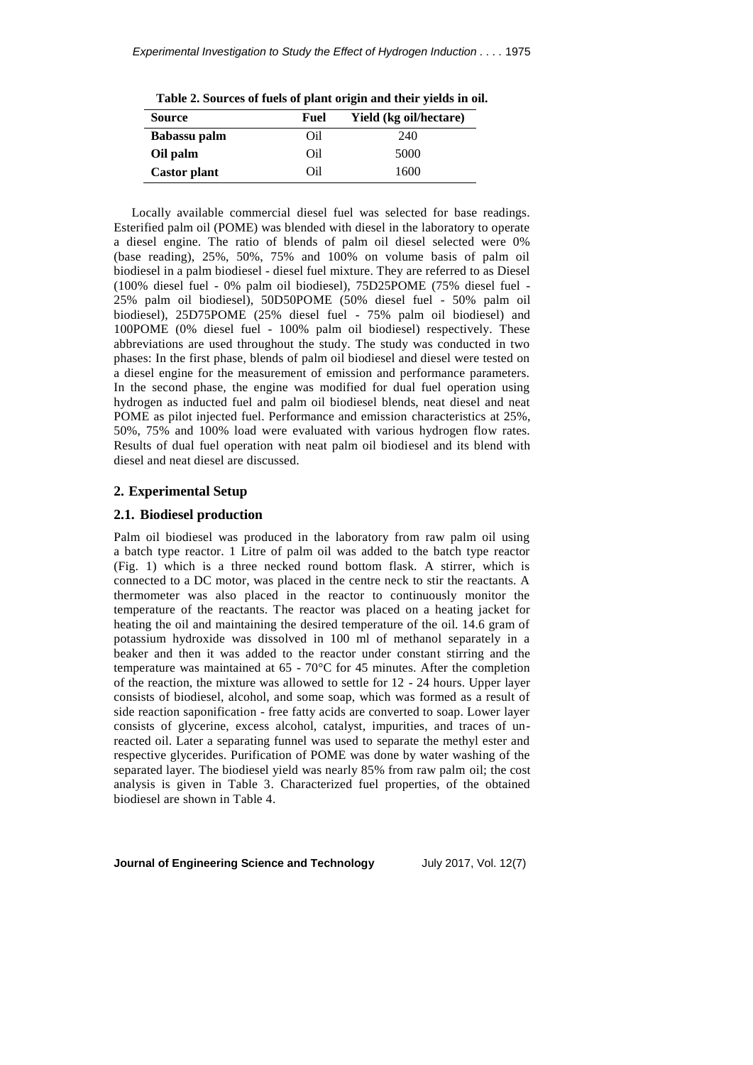**Table 2. Sources of fuels of plant origin and their yields in oil.**

| <b>Source</b>       | Fuel | Yield (kg oil/hectare) |
|---------------------|------|------------------------|
| Babassu palm        | Oil  | 240                    |
| Oil palm            | Oil  | 5000                   |
| <b>Castor plant</b> | Oil  | 1600                   |

Locally available commercial diesel fuel was selected for base readings. Esterified palm oil (POME) was blended with diesel in the laboratory to operate a diesel engine. The ratio of blends of palm oil diesel selected were 0% (base reading), 25%, 50%, 75% and 100% on volume basis of palm oil biodiesel in a palm biodiesel - diesel fuel mixture. They are referred to as Diesel (100% diesel fuel - 0% palm oil biodiesel), 75D25POME (75% diesel fuel - 25% palm oil biodiesel), 50D50POME (50% diesel fuel - 50% palm oil biodiesel), 25D75POME (25% diesel fuel - 75% palm oil biodiesel) and 100POME (0% diesel fuel - 100% palm oil biodiesel) respectively. These abbreviations are used throughout the study. The study was conducted in two phases: In the first phase, blends of palm oil biodiesel and diesel were tested on a diesel engine for the measurement of emission and performance parameters. In the second phase, the engine was modified for dual fuel operation using hydrogen as inducted fuel and palm oil biodiesel blends, neat diesel and neat POME as pilot injected fuel. Performance and emission characteristics at 25%, 50%, 75% and 100% load were evaluated with various hydrogen flow rates. Results of dual fuel operation with neat palm oil biodiesel and its blend with diesel and neat diesel are discussed.

# **2. Experimental Setup**

#### **2.1. Biodiesel production**

Palm oil biodiesel was produced in the laboratory from raw palm oil using a batch type reactor. 1 Litre of palm oil was added to the batch type reactor (Fig. 1) which is a three necked round bottom flask. A stirrer, which is connected to a DC motor, was placed in the centre neck to stir the reactants. A thermometer was also placed in the reactor to continuously monitor the temperature of the reactants. The reactor was placed on a heating jacket for heating the oil and maintaining the desired temperature of the oil. 14.6 gram of potassium hydroxide was dissolved in 100 ml of methanol separately in a beaker and then it was added to the reactor under constant stirring and the temperature was maintained at 65 - 70°C for 45 minutes. After the completion of the reaction, the mixture was allowed to settle for 12 - 24 hours. Upper layer consists of biodiesel, alcohol, and some soap, which was formed as a result of side reaction saponification - free fatty acids are converted to soap. Lower layer consists of glycerine, excess alcohol, catalyst, impurities, and traces of unreacted oil. Later a separating funnel was used to separate the methyl ester and respective glycerides. Purification of POME was done by water washing of the separated layer. The biodiesel yield was nearly 85% from raw palm oil; the cost analysis is given in Table 3. Characterized fuel properties, of the obtained biodiesel are shown in Table 4.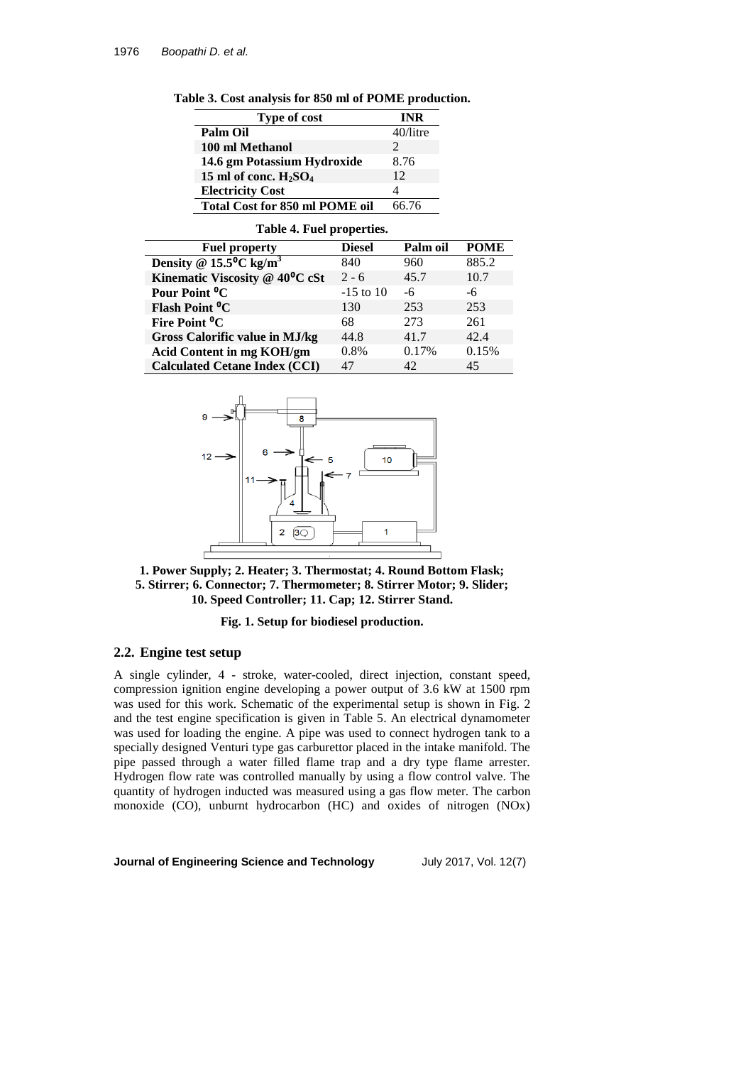| <b>Type of cost</b>                   | <b>INR</b>                  |
|---------------------------------------|-----------------------------|
| <b>Palm Oil</b>                       | $40$ /litre                 |
| 100 ml Methanol                       | $\mathcal{D}_{\mathcal{A}}$ |
| 14.6 gm Potassium Hydroxide           | 8.76                        |
| 15 ml of conc. $H_2SO_4$              | 12                          |
| <b>Electricity Cost</b>               |                             |
| <b>Total Cost for 850 ml POME oil</b> | 66 76                       |

#### **Table 4. Fuel properties.**

| <b>Fuel property</b>                         | <b>Diesel</b> | Palm oil | <b>POME</b> |
|----------------------------------------------|---------------|----------|-------------|
| Density @ $15.5^{\circ}$ C kg/m <sup>3</sup> | 840           | 960      | 885.2       |
| Kinematic Viscosity @ $40^{\circ}$ C cSt     | $2 - 6$       | 45.7     | 10.7        |
| Pour Point <sup>o</sup> C                    | $-15$ to $10$ | -6       | -6          |
| Flash Point <sup>o</sup> C                   | 130           | 253      | 253         |
| Fire Point <sup>o</sup> C                    | 68            | 273      | 261         |
| <b>Gross Calorific value in MJ/kg</b>        | 44.8          | 41.7     | 42.4        |
| <b>Acid Content in mg KOH/gm</b>             | 0.8%          | 0.17%    | 0.15%       |
| <b>Calculated Cetane Index (CCI)</b>         | 47            | 42       | 45          |





### **Fig. 1. Setup for biodiesel production.**

## **2.2. Engine test setup**

A single cylinder, 4 - stroke, water-cooled, direct injection, constant speed, compression ignition engine developing a power output of 3.6 kW at 1500 rpm was used for this work. Schematic of the experimental setup is shown in Fig. 2 and the test engine specification is given in Table 5. An electrical dynamometer was used for loading the engine. A pipe was used to connect hydrogen tank to a specially designed Venturi type gas carburettor placed in the intake manifold. The pipe passed through a water filled flame trap and a dry type flame arrester. Hydrogen flow rate was controlled manually by using a flow control valve. The quantity of hydrogen inducted was measured using a gas flow meter. The carbon monoxide (CO), unburnt hydrocarbon (HC) and oxides of nitrogen (NOx)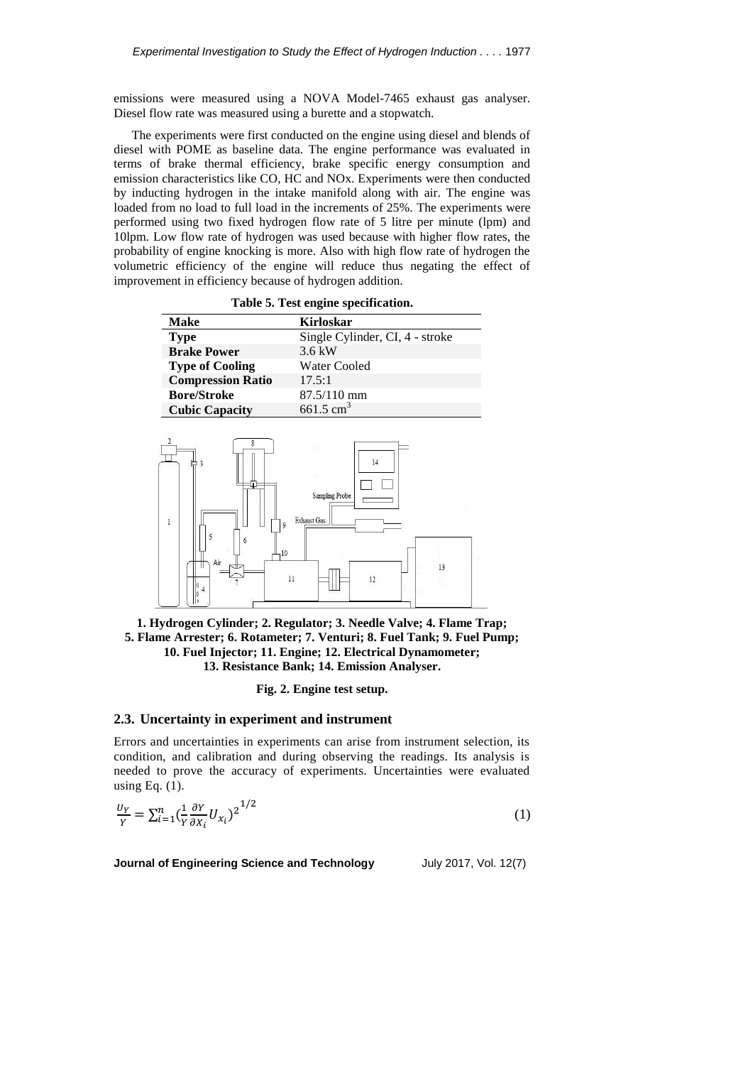emissions were measured using a NOVA Model-7465 exhaust gas analyser. Diesel flow rate was measured using a burette and a stopwatch.

The experiments were first conducted on the engine using diesel and blends of diesel with POME as baseline data. The engine performance was evaluated in terms of brake thermal efficiency, brake specific energy consumption and emission characteristics like CO, HC and NOx. Experiments were then conducted by inducting hydrogen in the intake manifold along with air. The engine was loaded from no load to full load in the increments of 25%. The experiments were performed using two fixed hydrogen flow rate of 5 litre per minute (lpm) and 10lpm. Low flow rate of hydrogen was used because with higher flow rates, the probability of engine knocking is more. Also with high flow rate of hydrogen the volumetric efficiency of the engine will reduce thus negating the effect of improvement in efficiency because of hydrogen addition.

**Table 5. Test engine specification.**

| Make                     | <b>Kirloskar</b>                |
|--------------------------|---------------------------------|
| <b>Type</b>              | Single Cylinder, CI, 4 - stroke |
| <b>Brake Power</b>       | $3.6 \text{ kW}$                |
| <b>Type of Cooling</b>   | Water Cooled                    |
| <b>Compression Ratio</b> | 17.5:1                          |
| <b>Bore/Stroke</b>       | $87.5/110$ mm                   |
| <b>Cubic Capacity</b>    | $661.5 \text{ cm}^3$            |



**1. Hydrogen Cylinder; 2. Regulator; 3. Needle Valve; 4. Flame Trap; 5. Flame Arrester; 6. Rotameter; 7. Venturi; 8. Fuel Tank; 9. Fuel Pump; 10. Fuel Injector; 11. Engine; 12. Electrical Dynamometer; 13. Resistance Bank; 14. Emission Analyser.**

**Fig. 2. Engine test setup.**

## **2.3. Uncertainty in experiment and instrument**

Errors and uncertainties in experiments can arise from instrument selection, its condition, and calibration and during observing the readings. Its analysis is needed to prove the accuracy of experiments. Uncertainties were evaluated using Eq.  $(1)$ .

$$
\frac{U_Y}{Y} = \sum_{i=1}^n \left(\frac{1}{Y} \frac{\partial Y}{\partial X_i} U_{X_i}\right)^{1/2} \tag{1}
$$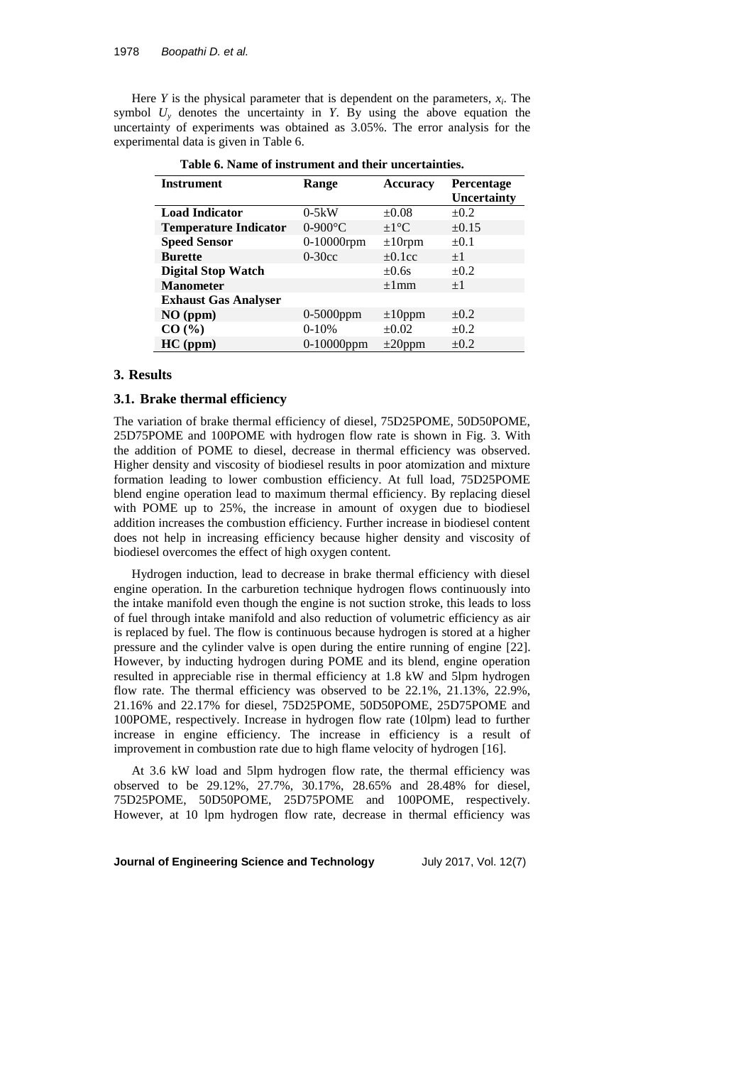Here  $Y$  is the physical parameter that is dependent on the parameters,  $x_i$ . The symbol  $U_y$  denotes the uncertainty in *Y*. By using the above equation the uncertainty of experiments was obtained as 3.05%. The error analysis for the experimental data is given in Table 6.

| <b>Instrument</b>            |               |                   |                   |
|------------------------------|---------------|-------------------|-------------------|
|                              | Range         | <b>Accuracy</b>   | <b>Percentage</b> |
|                              |               |                   | Uncertainty       |
| <b>Load Indicator</b>        | $0-5kW$       | $\pm 0.08$        | $\pm 0.2$         |
| <b>Temperature Indicator</b> | $0-900$ °C    | $\pm 1^{\circ}$ C | $\pm 0.15$        |
| <b>Speed Sensor</b>          | 0-10000rpm    | $\pm 10$ rpm      | $\pm 0.1$         |
| <b>Burette</b>               | $0-30cc$      | $\pm 0.1$ cc      | $+1$              |
| <b>Digital Stop Watch</b>    |               | $\pm 0.6s$        | $\pm 0.2$         |
| <b>Manometer</b>             |               | $\pm 1$ mm        | $+1$              |
| <b>Exhaust Gas Analyser</b>  |               |                   |                   |
| $NO$ (ppm)                   | $0-5000$ ppm  | $\pm 10$ ppm      | $\pm 0.2$         |
| CO (%)                       | $0-10%$       | $\pm 0.02$        | $\pm 0.2$         |
| $HC$ (ppm)                   | $0-10000$ ppm | $\pm 20$ ppm      | $\pm 0.2$         |

**Table 6. Name of instrument and their uncertainties.**

#### **3. Results**

## **3.1. Brake thermal efficiency**

The variation of brake thermal efficiency of diesel, 75D25POME, 50D50POME, 25D75POME and 100POME with hydrogen flow rate is shown in Fig. 3. With the addition of POME to diesel, decrease in thermal efficiency was observed. Higher density and viscosity of biodiesel results in poor atomization and mixture formation leading to lower combustion efficiency. At full load, 75D25POME blend engine operation lead to maximum thermal efficiency. By replacing diesel with POME up to 25%, the increase in amount of oxygen due to biodiesel addition increases the combustion efficiency. Further increase in biodiesel content does not help in increasing efficiency because higher density and viscosity of biodiesel overcomes the effect of high oxygen content.

Hydrogen induction, lead to decrease in brake thermal efficiency with diesel engine operation. In the carburetion technique hydrogen flows continuously into the intake manifold even though the engine is not suction stroke, this leads to loss of fuel through intake manifold and also reduction of volumetric efficiency as air is replaced by fuel. The flow is continuous because hydrogen is stored at a higher pressure and the cylinder valve is open during the entire running of engine [22]. However, by inducting hydrogen during POME and its blend, engine operation resulted in appreciable rise in thermal efficiency at 1.8 kW and 5lpm hydrogen flow rate. The thermal efficiency was observed to be 22.1%, 21.13%, 22.9%, 21.16% and 22.17% for diesel, 75D25POME, 50D50POME, 25D75POME and 100POME, respectively. Increase in hydrogen flow rate (10lpm) lead to further increase in engine efficiency. The increase in efficiency is a result of improvement in combustion rate due to high flame velocity of hydrogen [16].

At 3.6 kW load and 5lpm hydrogen flow rate, the thermal efficiency was observed to be 29.12%, 27.7%, 30.17%, 28.65% and 28.48% for diesel, 75D25POME, 50D50POME, 25D75POME and 100POME, respectively. However, at 10 lpm hydrogen flow rate, decrease in thermal efficiency was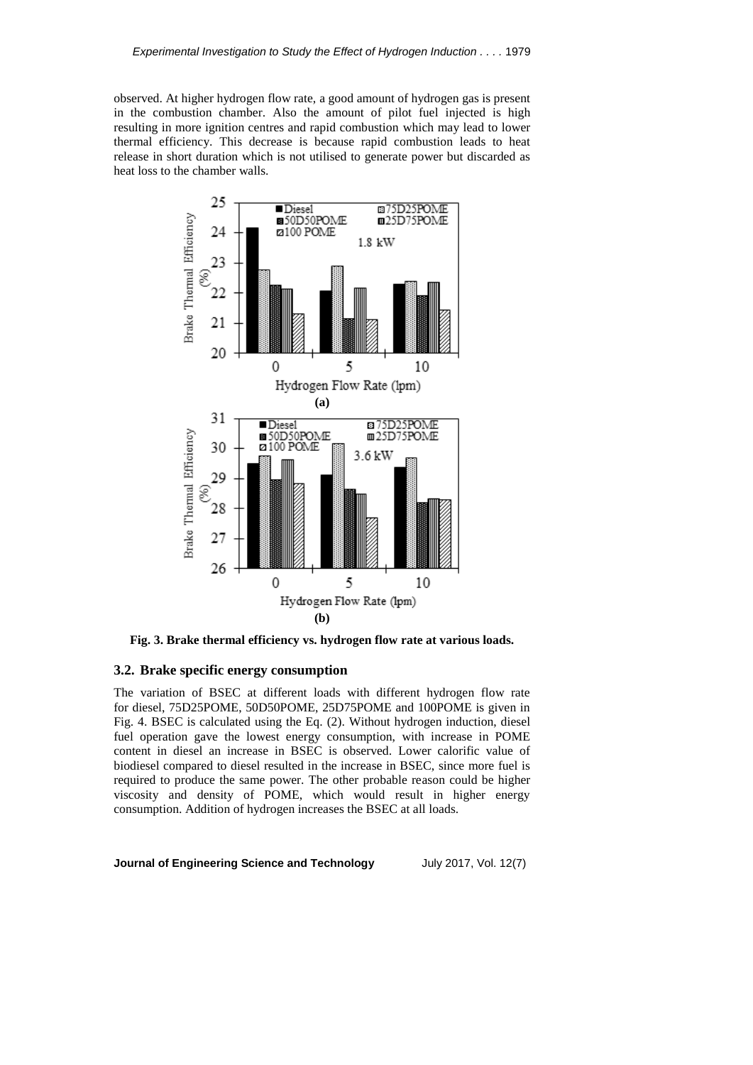observed. At higher hydrogen flow rate, a good amount of hydrogen gas is present in the combustion chamber. Also the amount of pilot fuel injected is high resulting in more ignition centres and rapid combustion which may lead to lower thermal efficiency. This decrease is because rapid combustion leads to heat release in short duration which is not utilised to generate power but discarded as heat loss to the chamber walls.



**Fig. 3. Brake thermal efficiency vs. hydrogen flow rate at various loads.**

### **3.2. Brake specific energy consumption**

The variation of BSEC at different loads with different hydrogen flow rate for diesel, 75D25POME, 50D50POME, 25D75POME and 100POME is given in Fig. 4. BSEC is calculated using the Eq. (2). Without hydrogen induction, diesel fuel operation gave the lowest energy consumption, with increase in POME content in diesel an increase in BSEC is observed. Lower calorific value of biodiesel compared to diesel resulted in the increase in BSEC, since more fuel is required to produce the same power. The other probable reason could be higher viscosity and density of POME, which would result in higher energy consumption. Addition of hydrogen increases the BSEC at all loads.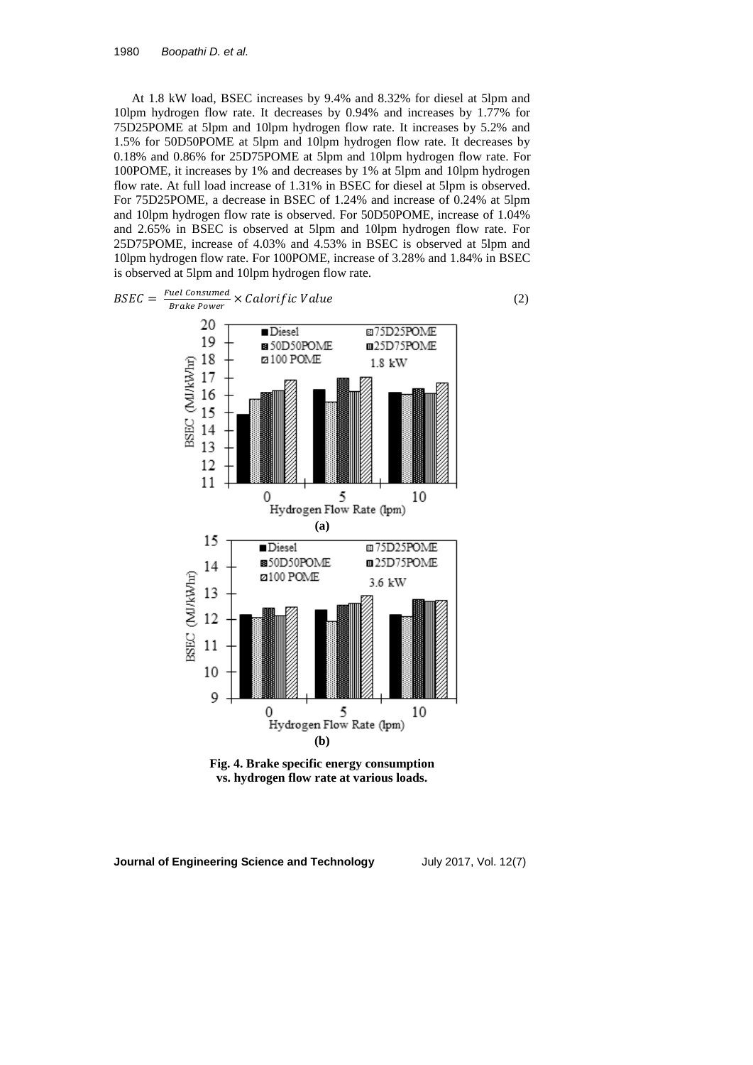At 1.8 kW load, BSEC increases by 9.4% and 8.32% for diesel at 5lpm and 10lpm hydrogen flow rate. It decreases by 0.94% and increases by 1.77% for 75D25POME at 5lpm and 10lpm hydrogen flow rate. It increases by 5.2% and 1.5% for 50D50POME at 5lpm and 10lpm hydrogen flow rate. It decreases by 0.18% and 0.86% for 25D75POME at 5lpm and 10lpm hydrogen flow rate. For 100POME, it increases by 1% and decreases by 1% at 5lpm and 10lpm hydrogen flow rate. At full load increase of 1.31% in BSEC for diesel at 5lpm is observed. For 75D25POME, a decrease in BSEC of 1.24% and increase of 0.24% at 5lpm and 10lpm hydrogen flow rate is observed. For 50D50POME, increase of 1.04% and 2.65% in BSEC is observed at 5lpm and 10lpm hydrogen flow rate. For 25D75POME, increase of 4.03% and 4.53% in BSEC is observed at 5lpm and 10lpm hydrogen flow rate. For 100POME, increase of 3.28% and 1.84% in BSEC is observed at 5lpm and 10lpm hydrogen flow rate.



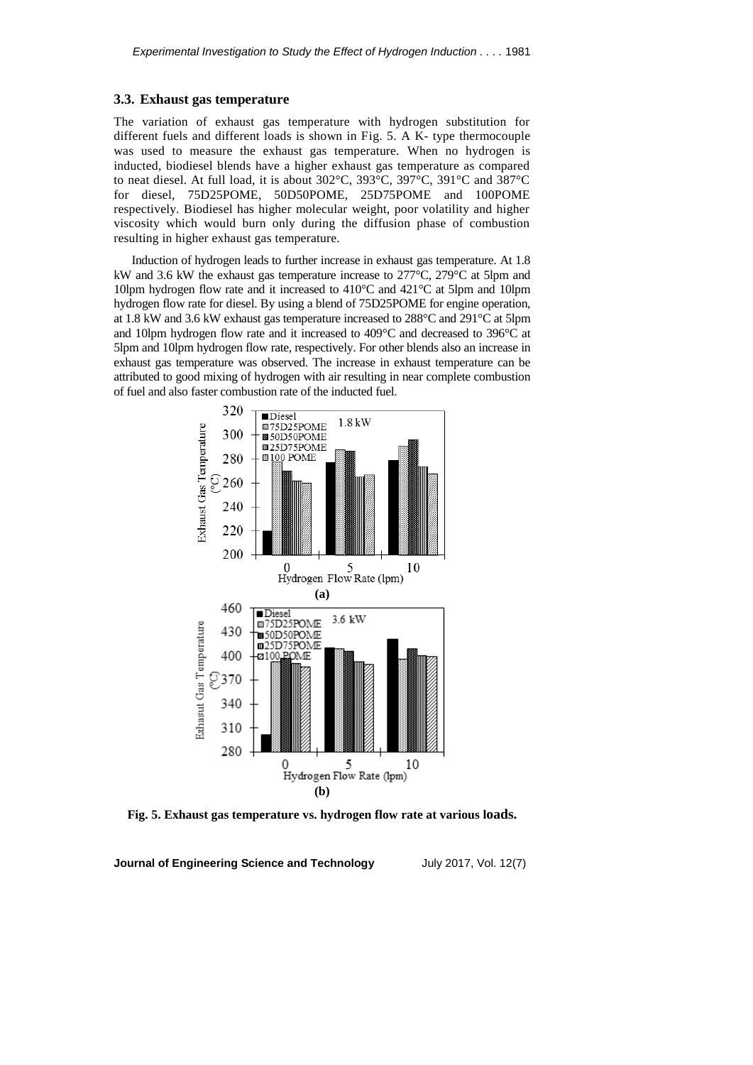### **3.3. Exhaust gas temperature**

The variation of exhaust gas temperature with hydrogen substitution for different fuels and different loads is shown in Fig. 5. A K- type thermocouple was used to measure the exhaust gas temperature. When no hydrogen is inducted, biodiesel blends have a higher exhaust gas temperature as compared to neat diesel. At full load, it is about 302°C, 393°C, 397°C, 391°C and 387°C for diesel, 75D25POME, 50D50POME, 25D75POME and 100POME respectively. Biodiesel has higher molecular weight, poor volatility and higher viscosity which would burn only during the diffusion phase of combustion resulting in higher exhaust gas temperature.

Induction of hydrogen leads to further increase in exhaust gas temperature. At 1.8 kW and 3.6 kW the exhaust gas temperature increase to 277°C, 279°C at 5lpm and 10lpm hydrogen flow rate and it increased to 410°C and 421°C at 5lpm and 10lpm hydrogen flow rate for diesel. By using a blend of 75D25POME for engine operation, at 1.8 kW and 3.6 kW exhaust gas temperature increased to 288°C and 291°C at 5lpm and 10lpm hydrogen flow rate and it increased to 409°C and decreased to 396°C at 5lpm and 10lpm hydrogen flow rate, respectively. For other blends also an increase in exhaust gas temperature was observed. The increase in exhaust temperature can be attributed to good mixing of hydrogen with air resulting in near complete combustion of fuel and also faster combustion rate of the inducted fuel.



**Fig. 5. Exhaust gas temperature vs. hydrogen flow rate at various loads.**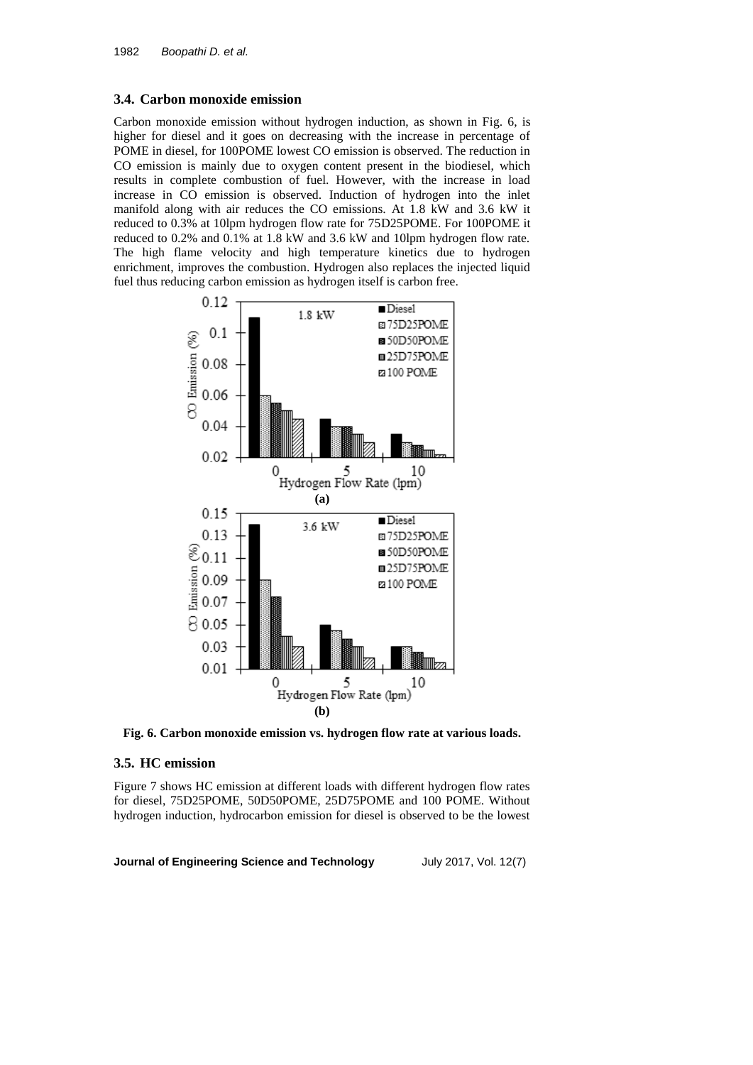## **3.4. Carbon monoxide emission**

Carbon monoxide emission without hydrogen induction, as shown in Fig. 6, is higher for diesel and it goes on decreasing with the increase in percentage of POME in diesel, for 100POME lowest CO emission is observed. The reduction in CO emission is mainly due to oxygen content present in the biodiesel, which results in complete combustion of fuel. However, with the increase in load increase in CO emission is observed. Induction of hydrogen into the inlet manifold along with air reduces the CO emissions. At 1.8 kW and 3.6 kW it reduced to 0.3% at 10lpm hydrogen flow rate for 75D25POME. For 100POME it reduced to 0.2% and 0.1% at 1.8 kW and 3.6 kW and 10lpm hydrogen flow rate. The high flame velocity and high temperature kinetics due to hydrogen enrichment, improves the combustion. Hydrogen also replaces the injected liquid fuel thus reducing carbon emission as hydrogen itself is carbon free.



**Fig. 6. Carbon monoxide emission vs. hydrogen flow rate at various loads.**

## **3.5. HC emission**

Figure 7 shows HC emission at different loads with different hydrogen flow rates for diesel, 75D25POME, 50D50POME, 25D75POME and 100 POME. Without hydrogen induction, hydrocarbon emission for diesel is observed to be the lowest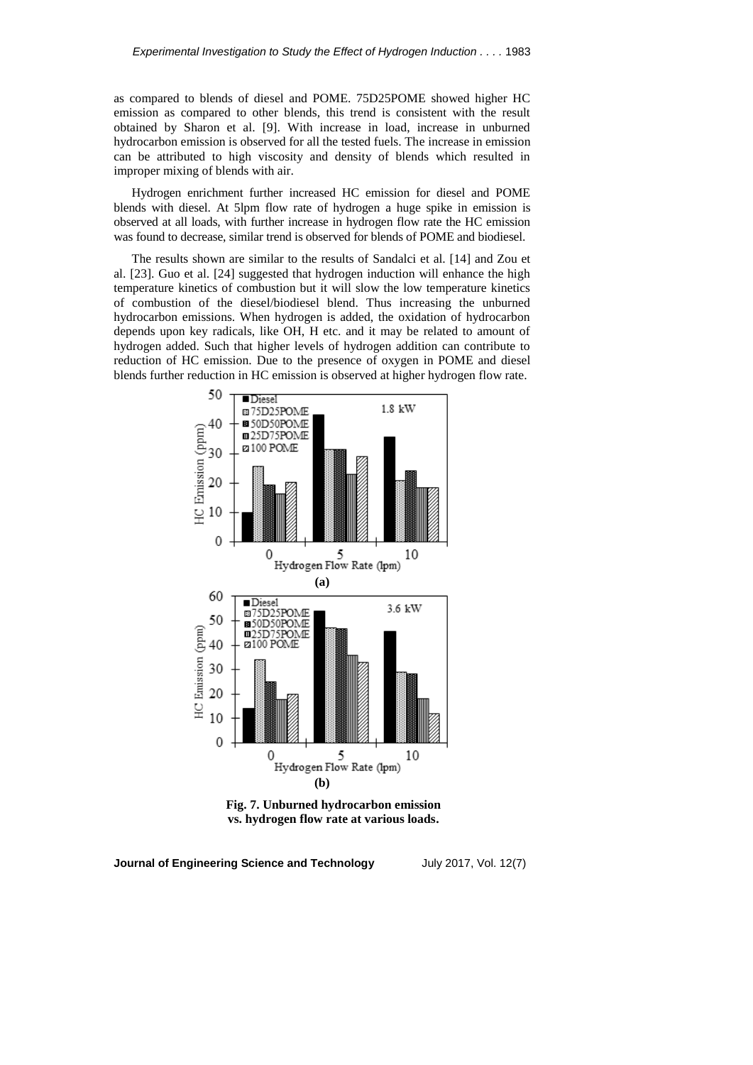as compared to blends of diesel and POME. 75D25POME showed higher HC emission as compared to other blends, this trend is consistent with the result obtained by Sharon et al. [9]. With increase in load, increase in unburned hydrocarbon emission is observed for all the tested fuels. The increase in emission can be attributed to high viscosity and density of blends which resulted in improper mixing of blends with air.

Hydrogen enrichment further increased HC emission for diesel and POME blends with diesel. At 5lpm flow rate of hydrogen a huge spike in emission is observed at all loads, with further increase in hydrogen flow rate the HC emission was found to decrease, similar trend is observed for blends of POME and biodiesel.

The results shown are similar to the results of Sandalci et al. [14] and Zou et al. [23]. Guo et al. [24] suggested that hydrogen induction will enhance the high temperature kinetics of combustion but it will slow the low temperature kinetics of combustion of the diesel/biodiesel blend. Thus increasing the unburned hydrocarbon emissions. When hydrogen is added, the oxidation of hydrocarbon depends upon key radicals, like OH, H etc. and it may be related to amount of hydrogen added. Such that higher levels of hydrogen addition can contribute to reduction of HC emission. Due to the presence of oxygen in POME and diesel blends further reduction in HC emission is observed at higher hydrogen flow rate.



**Fig. 7. Unburned hydrocarbon emission vs. hydrogen flow rate at various loads.**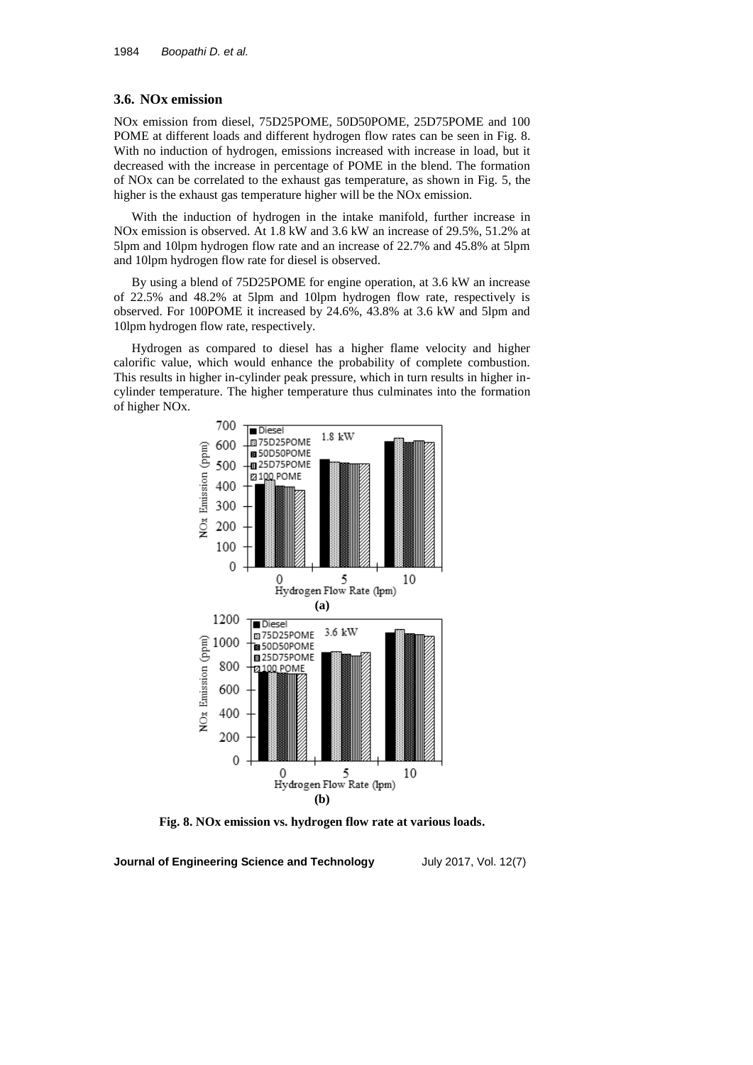### **3.6. NOx emission**

NOx emission from diesel, 75D25POME, 50D50POME, 25D75POME and 100 POME at different loads and different hydrogen flow rates can be seen in Fig. 8. With no induction of hydrogen, emissions increased with increase in load, but it decreased with the increase in percentage of POME in the blend. The formation of NOx can be correlated to the exhaust gas temperature, as shown in Fig. 5, the higher is the exhaust gas temperature higher will be the NOx emission.

With the induction of hydrogen in the intake manifold, further increase in NOx emission is observed. At 1.8 kW and 3.6 kW an increase of 29.5%, 51.2% at 5lpm and 10lpm hydrogen flow rate and an increase of 22.7% and 45.8% at 5lpm and 10lpm hydrogen flow rate for diesel is observed.

By using a blend of 75D25POME for engine operation, at 3.6 kW an increase of 22.5% and 48.2% at 5lpm and 10lpm hydrogen flow rate, respectively is observed. For 100POME it increased by 24.6%, 43.8% at 3.6 kW and 5lpm and 10lpm hydrogen flow rate, respectively.

Hydrogen as compared to diesel has a higher flame velocity and higher calorific value, which would enhance the probability of complete combustion. This results in higher in-cylinder peak pressure, which in turn results in higher incylinder temperature. The higher temperature thus culminates into the formation of higher NOx.



**Fig. 8. NOx emission vs. hydrogen flow rate at various loads.**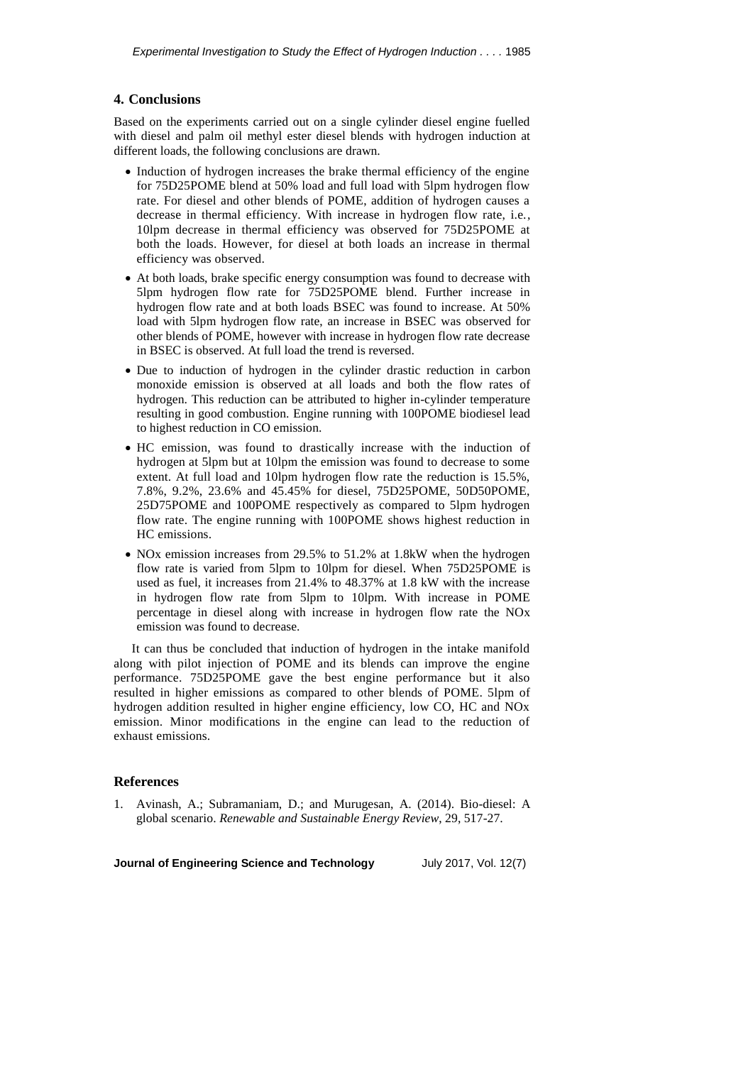## **4. Conclusions**

Based on the experiments carried out on a single cylinder diesel engine fuelled with diesel and palm oil methyl ester diesel blends with hydrogen induction at different loads, the following conclusions are drawn.

- Induction of hydrogen increases the brake thermal efficiency of the engine for 75D25POME blend at 50% load and full load with 5lpm hydrogen flow rate. For diesel and other blends of POME, addition of hydrogen causes a decrease in thermal efficiency. With increase in hydrogen flow rate, i.e., 10lpm decrease in thermal efficiency was observed for 75D25POME at both the loads. However, for diesel at both loads an increase in thermal efficiency was observed.
- At both loads, brake specific energy consumption was found to decrease with 5lpm hydrogen flow rate for 75D25POME blend. Further increase in hydrogen flow rate and at both loads BSEC was found to increase. At 50% load with 5lpm hydrogen flow rate, an increase in BSEC was observed for other blends of POME, however with increase in hydrogen flow rate decrease in BSEC is observed. At full load the trend is reversed.
- Due to induction of hydrogen in the cylinder drastic reduction in carbon monoxide emission is observed at all loads and both the flow rates of hydrogen. This reduction can be attributed to higher in-cylinder temperature resulting in good combustion. Engine running with 100POME biodiesel lead to highest reduction in CO emission.
- HC emission, was found to drastically increase with the induction of hydrogen at 5lpm but at 10lpm the emission was found to decrease to some extent. At full load and 10lpm hydrogen flow rate the reduction is 15.5%, 7.8%, 9.2%, 23.6% and 45.45% for diesel, 75D25POME, 50D50POME, 25D75POME and 100POME respectively as compared to 5lpm hydrogen flow rate. The engine running with 100POME shows highest reduction in HC emissions.
- NOx emission increases from 29.5% to 51.2% at 1.8kW when the hydrogen flow rate is varied from 5lpm to 10lpm for diesel. When 75D25POME is used as fuel, it increases from 21.4% to 48.37% at 1.8 kW with the increase in hydrogen flow rate from 5lpm to 10lpm. With increase in POME percentage in diesel along with increase in hydrogen flow rate the NOx emission was found to decrease.

It can thus be concluded that induction of hydrogen in the intake manifold along with pilot injection of POME and its blends can improve the engine performance. 75D25POME gave the best engine performance but it also resulted in higher emissions as compared to other blends of POME. 5lpm of hydrogen addition resulted in higher engine efficiency, low CO, HC and NOx emission. Minor modifications in the engine can lead to the reduction of exhaust emissions.

## **References**

1. Avinash, A.; Subramaniam, D.; and Murugesan, A. (2014). Bio-diesel: A global scenario. *Renewable and Sustainable Energy Review*, 29, 517-27.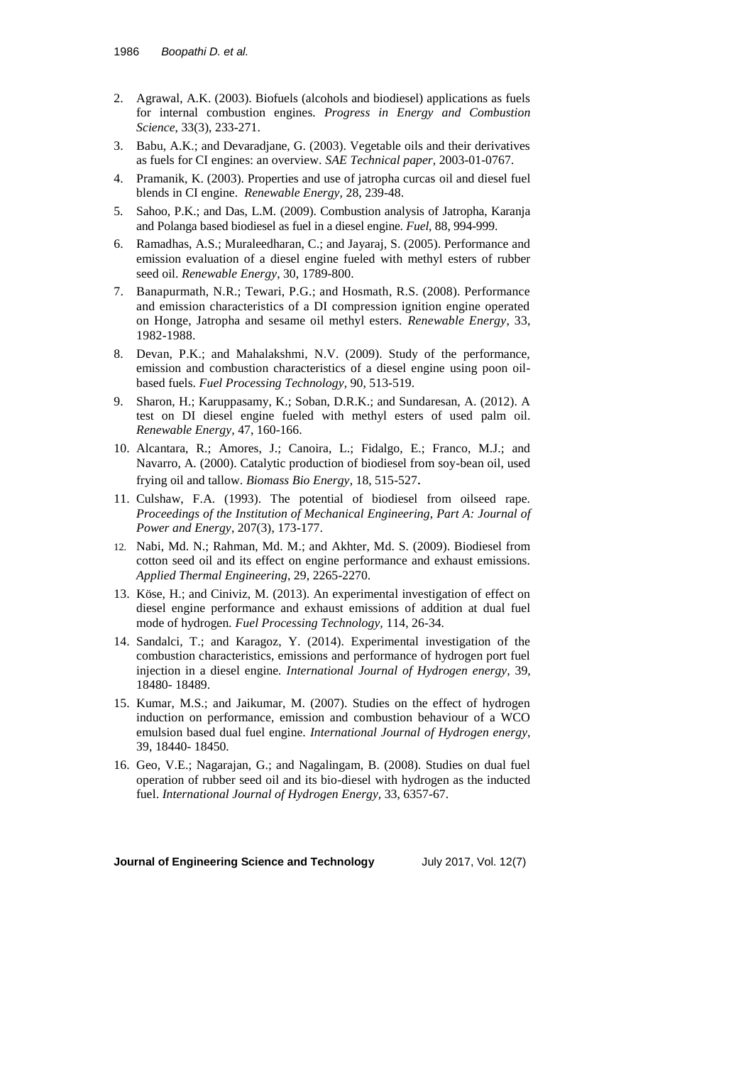- 2. Agrawal, A.K. (2003). Biofuels (alcohols and biodiesel) applications as fuels for internal combustion engines. *Progress in Energy and Combustion Science*, 33(3), 233-271.
- 3. Babu, A.K.; and Devaradjane, G. (2003). Vegetable oils and their derivatives as fuels for CI engines: an overview. *SAE Technical paper,* 2003-01-0767.
- 4. Pramanik, K. (2003). Properties and use of jatropha curcas oil and diesel fuel blends in CI engine. *Renewable Energy,* 28, 239-48.
- 5. Sahoo, P.K.; and Das, L.M. (2009). Combustion analysis of Jatropha, Karanja and Polanga based biodiesel as fuel in a diesel engine. *Fuel*, 88, 994-999.
- 6. Ramadhas, A.S.; Muraleedharan, C.; and Jayaraj, S. (2005). Performance and emission evaluation of a diesel engine fueled with methyl esters of rubber seed oil. *Renewable Energy*, 30, 1789-800.
- 7. Banapurmath, N.R.; Tewari, P.G.; and Hosmath, R.S. (2008). Performance and emission characteristics of a DI compression ignition engine operated on Honge, Jatropha and sesame oil methyl esters. *Renewable Energy*, 33, 1982-1988.
- 8. Devan, P.K.; and Mahalakshmi, N.V. (2009). Study of the performance, emission and combustion characteristics of a diesel engine using poon oilbased fuels. *Fuel Processing Technology,* 90, 513-519.
- 9. Sharon, H.; Karuppasamy, K.; Soban, D.R.K.; and Sundaresan, A. (2012). A test on DI diesel engine fueled with methyl esters of used palm oil. *Renewable Energy,* 47, 160-166.
- 10. Alcantara, R.; Amores, J.; Canoira, L.; Fidalgo, E.; Franco, M.J.; and Navarro, A. (2000). Catalytic production of biodiesel from soy-bean oil, used frying oil and tallow. *Biomass Bio Energy*, 18, 515-527.
- 11. Culshaw, F.A. (1993). The potential of biodiesel from oilseed rape. *Proceedings of the Institution of Mechanical Engineering*, *Part A: Journal of Power and Energy*, 207(3), 173-177.
- 12. Nabi, Md. N.; Rahman, Md. M.; and Akhter, Md. S. (2009). Biodiesel from cotton seed oil and its effect on engine performance and exhaust emissions. *Applied Thermal Engineering*, 29, 2265-2270.
- 13. Köse, H.; and Ciniviz, M. (2013). An experimental investigation of effect on diesel engine performance and exhaust emissions of addition at dual fuel mode of hydrogen*. Fuel Processing Technology,* 114, 26-34.
- 14. Sandalci, T.; and Karagoz, Y. (2014). Experimental investigation of the combustion characteristics, emissions and performance of hydrogen port fuel injection in a diesel engine*. International Journal of Hydrogen energy,* 39, 18480- 18489.
- 15. Kumar, M.S.; and Jaikumar, M. (2007). Studies on the effect of hydrogen induction on performance, emission and combustion behaviour of a WCO emulsion based dual fuel engine. *International Journal of Hydrogen energy,* 39, 18440- 18450.
- 16. Geo, V.E.; Nagarajan, G.; and Nagalingam, B. (2008). Studies on dual fuel operation of rubber seed oil and its bio-diesel with hydrogen as the inducted fuel. *International Journal of Hydrogen Energy,* 33, 6357-67.